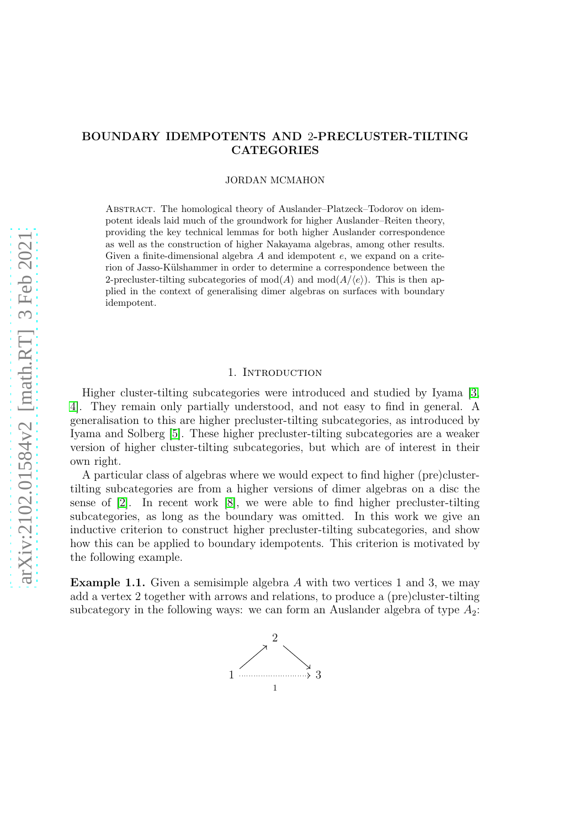# BOUNDARY IDEMPOTENTS AND 2-PRECLUSTER-TILTING **CATEGORIES**

JORDAN MCMAHON

Abstract. The homological theory of Auslander–Platzeck–Todorov on idempotent ideals laid much of the groundwork for higher Auslander–Reiten theory, providing the key technical lemmas for both higher Auslander correspondence as well as the construction of higher Nakayama algebras, among other results. Given a finite-dimensional algebra  $A$  and idempotent  $e$ , we expand on a criterion of Jasso-Külshammer in order to determine a correspondence between the 2-precluster-tilting subcategories of  $mod(A)$  and  $mod(A/\langle e \rangle)$ . This is then applied in the context of generalising dimer algebras on surfaces with boundary idempotent.

## 1. INTRODUCTION

Higher cluster-tilting subcategories were introduced and studied by Iyama [\[3,](#page-7-0) [4\]](#page-7-1). They remain only partially understood, and not easy to find in general. A generalisation to this are higher precluster-tilting subcategories, as introduced by Iyama and Solberg [\[5\]](#page-7-2). These higher precluster-tilting subcategories are a weaker version of higher cluster-tilting subcategories, but which are of interest in their own right.

A particular class of algebras where we would expect to find higher (pre)clustertilting subcategories are from a higher versions of dimer algebras on a disc the sense of [\[2\]](#page-7-3). In recent work [\[8\]](#page-8-0), we were able to find higher precluster-tilting subcategories, as long as the boundary was omitted. In this work we give an inductive criterion to construct higher precluster-tilting subcategories, and show how this can be applied to boundary idempotents. This criterion is motivated by the following example.

**Example 1.1.** Given a semisimple algebra A with two vertices 1 and 3, we may add a vertex 2 together with arrows and relations, to produce a (pre)cluster-tilting subcategory in the following ways: we can form an Auslander algebra of type  $A_2$ :

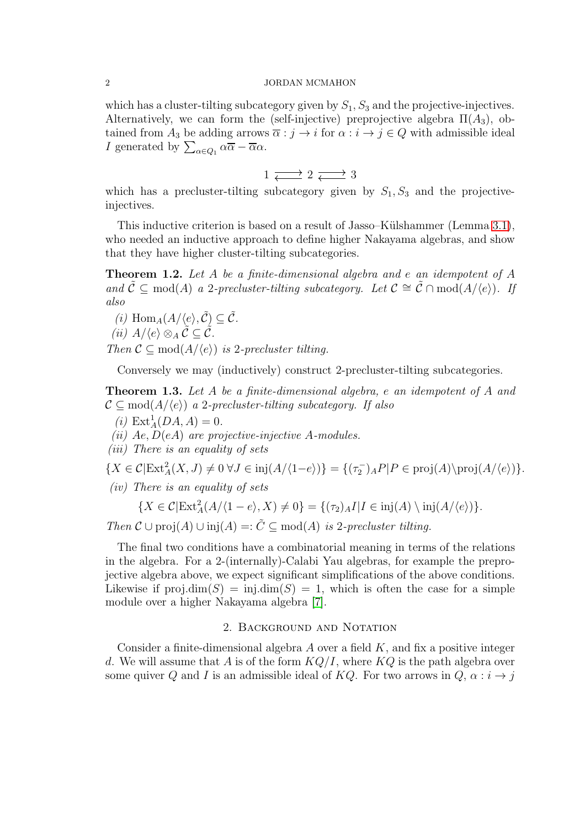which has a cluster-tilting subcategory given by  $S_1$ ,  $S_3$  and the projective-injectives. Alternatively, we can form the (self-injective) preprojective algebra  $\Pi(A_3)$ , obtained from  $A_3$  be adding arrows  $\overline{\alpha} : j \to i$  for  $\alpha : i \to j \in Q$  with admissible ideal *I* generated by  $\sum_{\alpha \in Q_1} \alpha \overline{\alpha} - \overline{\alpha} \alpha$ .

$$
1 \xrightarrow{\longrightarrow} 2 \xrightarrow{\longrightarrow} 3
$$

which has a precluster-tilting subcategory given by  $S_1, S_3$  and the projectiveinjectives.

This inductive criterion is based on a result of Jasso–Külshammer (Lemma [3.1\)](#page-6-0), who needed an inductive approach to define higher Nakayama algebras, and show that they have higher cluster-tilting subcategories.

<span id="page-1-0"></span>Theorem 1.2. *Let* A *be a finite-dimensional algebra and* e *an idempotent of* A *and*  $\mathcal{C}$  ⊆ mod(A) *a* 2*-precluster-tilting subcategory. Let*  $\mathcal{C} \cong \tilde{\mathcal{C}} \cap \text{mod}(A/\langle e \rangle)$ *. If also*

(i) 
$$
\text{Hom}_A(A/\langle e \rangle, \tilde{C}) \subseteq \tilde{C}
$$
.

$$
(ii) A/\langle e \rangle \otimes_A \tilde{C} \subseteq \tilde{C}.
$$

*Then*  $\mathcal{C} \subseteq \text{mod}(A/\langle e \rangle)$  *is* 2*-precluster tilting.* 

Conversely we may (inductively) construct 2-precluster-tilting subcategories.

<span id="page-1-1"></span>Theorem 1.3. *Let* A *be a finite-dimensional algebra,* e *an idempotent of* A *and*  $\mathcal{C} \subseteq \text{mod}(A/\langle e \rangle)$  *a* 2-precluster-tilting subcategory. If also

- $(i) \text{Ext}_{A}^{1}(DA, A) = 0.$
- *(ii)* Ae, D(eA) *are projective-injective* A*-modules.*
- *(iii) There is an equality of sets*

 ${X \in \mathcal{C}|\text{Ext}^2_A(X, J) \neq 0 \,\forall J \in \text{inj}(A/\langle 1-e \rangle) } = \{(\tau_2)_A P | P \in \text{proj}(A)\text{proj}(A/\langle e \rangle)\}.$ 

*(iv) There is an equality of sets*

$$
\{X \in \mathcal{C}|\mathrm{Ext}^2_A(A/\langle 1-e \rangle, X) \neq 0\} = \{(\tau_2)_A I | I \in \mathrm{inj}(A) \setminus \mathrm{inj}(A/\langle e \rangle)\}.
$$

*Then*  $\mathcal{C} \cup \text{proj}(A) \cup \text{inj}(A) =: \tilde{C} \subseteq \text{mod}(A)$  *is* 2*-precluster tilting.* 

The final two conditions have a combinatorial meaning in terms of the relations in the algebra. For a 2-(internally)-Calabi Yau algebras, for example the preprojective algebra above, we expect significant simplifications of the above conditions. Likewise if  $proj.dim(S) = inj.dim(S) = 1$ , which is often the case for a simple module over a higher Nakayama algebra [\[7\]](#page-8-1).

## 2. Background and Notation

Consider a finite-dimensional algebra  $A$  over a field  $K$ , and fix a positive integer d. We will assume that A is of the form  $KQ/I$ , where  $KQ$  is the path algebra over some quiver Q and I is an admissible ideal of KQ. For two arrows in  $Q, \alpha : i \rightarrow j$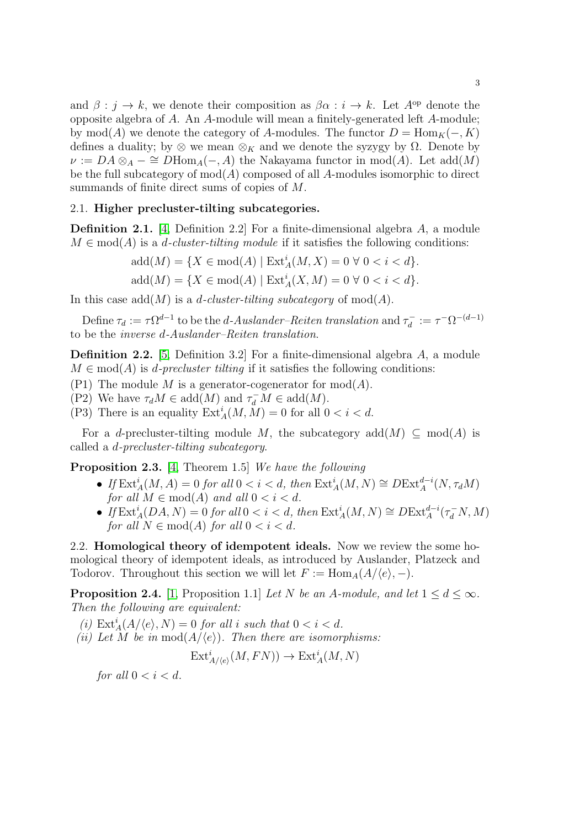and  $\beta : j \to k$ , we denote their composition as  $\beta \alpha : i \to k$ . Let  $A^{\rm op}$  denote the opposite algebra of A. An A-module will mean a finitely-generated left A-module; by mod(A) we denote the category of A-modules. The functor  $D = \text{Hom}_K(-, K)$ defines a duality; by  $\otimes$  we mean  $\otimes_K$  and we denote the syzygy by  $\Omega$ . Denote by  $\nu := DA \otimes_A - \cong DHom_A(-, A)$  the Nakayama functor in mod(A). Let add(M) be the full subcategory of  $mod(A)$  composed of all A-modules isomorphic to direct summands of finite direct sums of copies of M.

## 2.1. Higher precluster-tilting subcategories.

Definition 2.1. [\[4,](#page-7-1) Definition 2.2] For a finite-dimensional algebra A, a module  $M \in \text{mod}(A)$  is a *d-cluster-tilting module* if it satisfies the following conditions:

$$
add(M) = \{ X \in mod(A) \mid Ext_A^i(M, X) = 0 \,\forall \, 0 < i < d \}.
$$
\n
$$
add(M) = \{ X \in mod(A) \mid Ext_A^i(X, M) = 0 \,\forall \, 0 < i < d \}.
$$

In this case  $\text{add}(M)$  is a *d-cluster-tilting subcategory* of  $\text{mod}(A)$ .

Define  $\tau_d := \tau \Omega^{d-1}$  to be the *d*-Auslander–Reiten translation and  $\tau_d^ \tau_d^- := \tau^- \Omega^{-(d-1)}$ to be the *inverse* d*-Auslander–Reiten translation*.

Definition 2.2. [\[5,](#page-7-2) Definition 3.2] For a finite-dimensional algebra A, a module  $M \in \text{mod}(A)$  is *d-precluster tilting* if it satisfies the following conditions:

- <span id="page-2-3"></span><span id="page-2-1"></span>(P1) The module M is a generator-cogenerator for  $mod(A)$ .
- <span id="page-2-2"></span>(P2) We have  $\tau_d M \in \text{add}(M)$  and  $\tau_d^- M \in \text{add}(M)$ .
- (P3) There is an equality  $\text{Ext}_{A}^{i}(M, M) = 0$  for all  $0 < i < d$ .

For a d-precluster-tilting module M, the subcategory  $add(M) \subseteq mod(A)$  is called a d*-precluster-tilting subcategory*.

<span id="page-2-4"></span>Proposition 2.3. [\[4,](#page-7-1) Theorem 1.5] *We have the following*

- *If*  $\text{Ext}_{A}^{i}(M, A) = 0$  *for all*  $0 < i < d$ , *then*  $\text{Ext}_{A}^{i}(M, N) \cong D\text{Ext}_{A}^{d-i}(N, \tau_{d}M)$ *for all*  $M \in \text{mod}(A)$  *and all*  $0 < i < d$ *.*
- If  $\text{Ext}_{A}^{i}(DA, N) = 0$  for all  $0 < i < d$ , then  $\text{Ext}_{A}^{i}(M, N) \cong D\text{Ext}_{A}^{d-i}(\tau_{d}^{-}N, M)$ *for all*  $N \in \text{mod}(A)$  *for all*  $0 < i < d$ *.*

2.2. Homological theory of idempotent ideals. Now we review the some homological theory of idempotent ideals, as introduced by Auslander, Platzeck and Todorov. Throughout this section we will let  $F := \text{Hom}_{A}(A/\langle e \rangle, -)$ .

<span id="page-2-0"></span>**Proposition 2.4.** [\[1,](#page-7-4) Proposition 1.1] *Let* N *be an A-module, and let*  $1 \leq d \leq \infty$ *. Then the following are equivalent:*

- (i)  $\text{Ext}_{A}^{i}(A/\langle e \rangle, N) = 0$  *for all i such that*  $0 < i < d$ *.*
- *(ii) Let* M *be in* mod $(A/\langle e \rangle)$ *. Then there are isomorphisms:*

$$
\operatorname{Ext}_{A/\langle e\rangle}^{i}(M, FN)) \to \operatorname{Ext}_{A}^{i}(M, N)
$$

*for all*  $0 < i < d$ *.*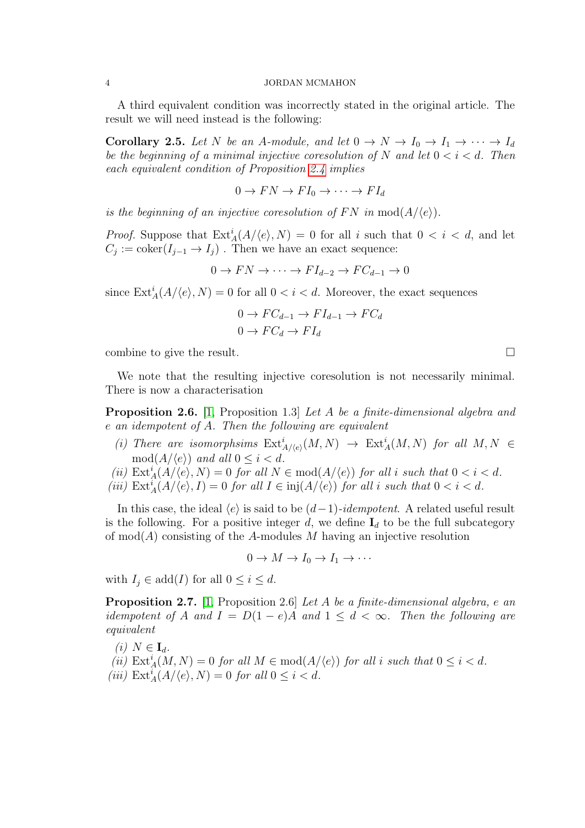A third equivalent condition was incorrectly stated in the original article. The result we will need instead is the following:

<span id="page-3-1"></span>**Corollary 2.5.** Let N be an A-module, and let  $0 \to N \to I_0 \to I_1 \to \cdots \to I_d$ *be the beginning of a minimal injective coresolution of* N and let  $0 < i < d$ . Then *each equivalent condition of Proposition [2.4](#page-2-0) implies*

$$
0 \to FN \to FI_0 \to \cdots \to FI_d
$$

*is the beginning of an injective coresolution of*  $FN$  *in* mod $(A/\langle e \rangle)$ *.* 

*Proof.* Suppose that  $\text{Ext}_{A}^{i}(A/\langle e \rangle, N) = 0$  for all i such that  $0 < i < d$ , and let  $C_j := \text{coker}(I_{j-1} \to I_j)$ . Then we have an exact sequence:

 $0 \to FN \to \cdots \to FI_{d-2} \to FC_{d-1} \to 0$ 

since  $\text{Ext}_{A}^{i}(A/\langle e \rangle, N) = 0$  for all  $0 < i < d$ . Moreover, the exact sequences

$$
0 \to FC_{d-1} \to FI_{d-1} \to FC_d
$$
  

$$
0 \to FC_d \to FI_d
$$

combine to give the result.

We note that the resulting injective coresolution is not necessarily minimal. There is now a characterisation

<span id="page-3-0"></span>Proposition 2.6. [\[1,](#page-7-4) Proposition 1.3] *Let* A *be a finite-dimensional algebra and* e *an idempotent of* A*. Then the following are equivalent*

- (i) There are isomorphsims  $\text{Ext}^i_{A/(e)}(M, N) \to \text{Ext}^i_A(M, N)$  for all  $M, N \in$  $mod(A/\langle e \rangle)$  *and all*  $0 \leq i < d$ *.*
- (*ii*)  $\text{Ext}_{A}^{i}(A/\langle e \rangle, N) = 0$  *for all*  $N \in \text{mod}(A/\langle e \rangle)$  *for all i such that*  $0 < i < d$ *.*
- (*iii*)  $\text{Ext}_{A}^{i}(A/\langle e \rangle, I) = 0$  *for all*  $I \in \text{inj}(A/\langle e \rangle)$  *for all i such that*  $0 < i < d$ *.*

In this case, the ideal  $\langle e \rangle$  is said to be  $(d-1)$ -idempotent. A related useful result is the following. For a positive integer d, we define  $I_d$  to be the full subcategory of  $mod(A)$  consisting of the A-modules M having an injective resolution

$$
0 \to M \to I_0 \to I_1 \to \cdots
$$

with  $I_i \in \text{add}(I)$  for all  $0 \leq i \leq d$ .

<span id="page-3-2"></span>Proposition 2.7. [\[1,](#page-7-4) Proposition 2.6] *Let* A *be a finite-dimensional algebra,* e *an idempotent of* A and  $I = D(1-e)A$  and  $1 \leq d < \infty$ . Then the following are *equivalent*

 $(i)$   $N \in I_d$ .

(*ii*)  $\text{Ext}_{A}^{i}(M, N) = 0$  *for all*  $M \in \text{mod}(A/\langle e \rangle)$  *for all i such that*  $0 \leq i < d$ *.*  $(iii) \operatorname{Ext}_{A}^{i}(A/\langle e \rangle, N) = 0$  *for all*  $0 \leq i < d$ *.*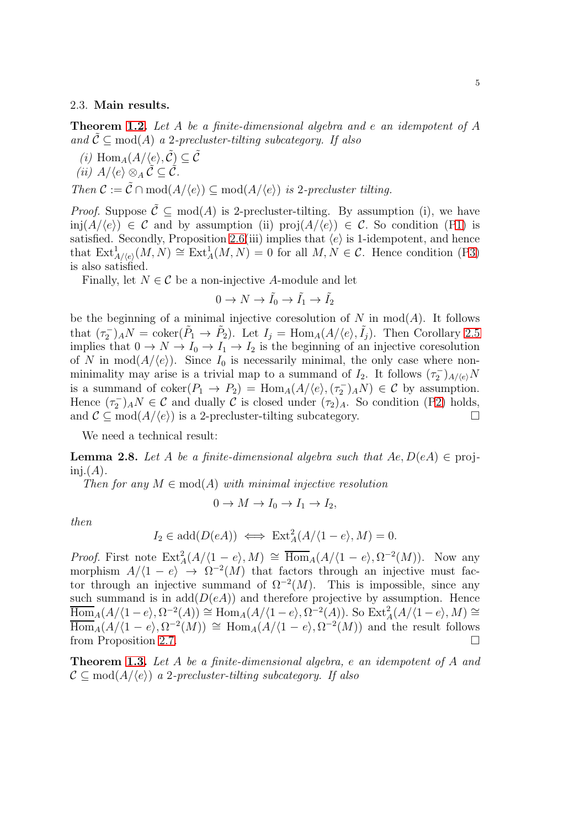### 2.3. Main results.

Theorem [1.2.](#page-1-0) *Let* A *be a finite-dimensional algebra and* e *an idempotent of* A and  $\tilde{\mathcal{C}} \subseteq \text{mod}(A)$  *a* 2*-precluster-tilting subcategory.* If also

*(i)*  $\text{Hom}_{A}(A/\langle e \rangle, \tilde{\mathcal{C}}) \subseteq \tilde{\mathcal{C}}$ *(ii)*  $A/\langle e \rangle \otimes_A \tilde{C} \subset \tilde{C}$ . *Then*  $C := \tilde{C} \cap \text{mod}(A/\langle e \rangle) \subseteq \text{mod}(A/\langle e \rangle)$  *is* 2*-precluster tilting.* 

*Proof.* Suppose  $\tilde{\mathcal{C}} \subseteq \text{mod}(A)$  is 2-precluster-tilting. By assumption (i), we have inj $(A/\langle e \rangle) \in C$  and by assumption (ii) proj $(A/\langle e \rangle) \in C$ . So condition ([P1\)](#page-2-1) is satisfied. Secondly, Proposition [2.6\(](#page-3-0)iii) implies that  $\langle e \rangle$  is 1-idempotent, and hence that  $\text{Ext}^1_{A/(e)}(M,N) \cong \text{Ext}^1_A(M,N) = 0$  for all  $M, N \in \mathcal{C}$ . Hence condition ([P3\)](#page-2-2) is also satisfied.

Finally, let  $N \in \mathcal{C}$  be a non-injective A-module and let

$$
0\to N\to \tilde{I_0}\to \tilde{I_1}\to \tilde{I_2}
$$

be the beginning of a minimal injective coresolution of N in  $mod(A)$ . It follows that  $(\tau_2^-)_A N = \text{coker}(\tilde{P}_1 \to \tilde{P}_2)$ . Let  $I_j = \text{Hom}_A(A/\langle e \rangle, \tilde{I}_j)$ . Then Corollary [2.5](#page-3-1) implies that  $0 \to N \to I_0 \to I_1 \to I_2$  is the beginning of an injective coresolution of N in  $mod(A/\langle e \rangle)$ . Since  $I_0$  is necessarily minimal, the only case where nonminimality may arise is a trivial map to a summand of  $I_2$ . It follows  $(\tau_2^-)_{A/(e)}N$ is a summand of  $\mathrm{coker}(P_1 \to P_2) = \mathrm{Hom}_A(A/\langle e \rangle, (\tau_2^-)_A N) \in \mathcal{C}$  by assumption. Hence  $(\tau_2^-)_A N \in \mathcal{C}$  and dually  $\mathcal{C}$  is closed under  $(\tau_2)_A$ . So condition ([P2\)](#page-2-3) holds, and  $\mathcal{C} \subseteq \text{mod}(A/\langle e \rangle)$  is a 2-precluster-tilting subcategory.

We need a technical result:

**Lemma 2.8.** Let A be a finite-dimensional algebra such that  $Ae, D(eA) \in \text{proj-}$  $\text{ini.}(A)$ .

*Then for any*  $M \in \text{mod}(A)$  *with minimal injective resolution* 

$$
0 \to M \to I_0 \to I_1 \to I_2,
$$

*then*

$$
I_2 \in \text{add}(D(eA)) \iff \text{Ext}^2_A(A/\langle 1-e \rangle, M) = 0.
$$

*Proof.* First note  $\text{Ext}_{A}^{2}(A/\langle 1-e \rangle, M) \cong \overline{\text{Hom}}_{A}(A/\langle 1-e \rangle, \Omega^{-2}(M)).$  Now any morphism  $A/\langle 1-e \rangle \rightarrow \Omega^{-2}(M)$  that factors through an injective must factor through an injective summand of  $\Omega^{-2}(M)$ . This is impossible, since any such summand is in  $add(D(eA))$  and therefore projective by assumption. Hence  $\overline{\mathrm{Hom}}_A(A/\langle 1-e \rangle, \Omega^{-2}(A)) \cong \mathrm{Hom}_A(A/\langle 1-e \rangle, \Omega^{-2}(A)).$  So  $\mathrm{Ext}^2_A(A/\langle 1-e \rangle, M) \cong$  $\overline{\text{Hom}}_A(A/\langle 1-e \rangle, \Omega^{-2}(M)) \cong \text{Hom}_A(A/\langle 1-e \rangle, \Omega^{-2}(M))$  and the result follows from Proposition [2.7.](#page-3-2)

Theorem [1.3.](#page-1-1) *Let* A *be a finite-dimensional algebra,* e *an idempotent of* A *and*  $\mathcal{C} \subseteq \text{mod}(A/\langle e \rangle)$  *a* 2*-precluster-tilting subcategory.* If also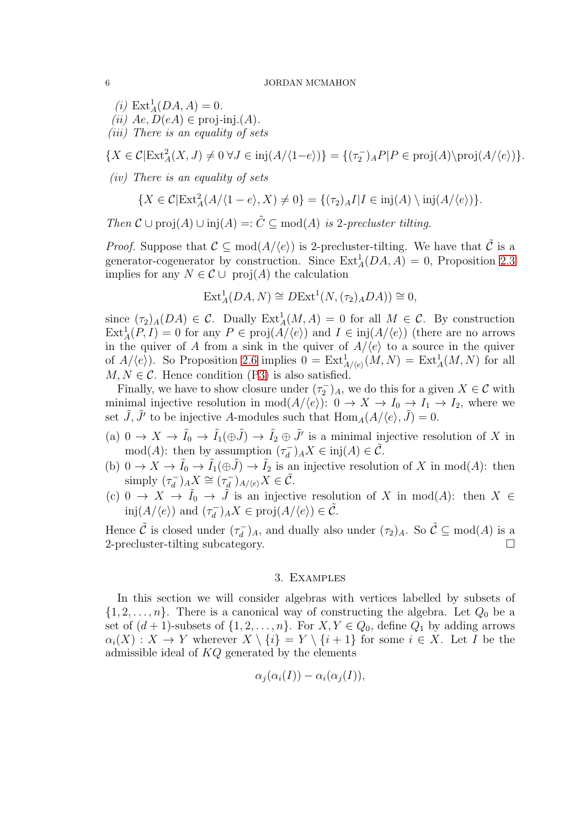- $(i) \text{Ext}_{A}^{1}(DA, A) = 0.$
- $(iii)$   $Ae, D(eA) \in \text{proj-ini}(A)$ .
- *(iii) There is an equality of sets*

 ${X \in \mathcal{C}|\text{Ext}^2_A(X, J) \neq 0 \,\forall J \in \text{inj}(A/\langle 1-e \rangle) } = \{(\tau_2)_A P | P \in \text{proj}(A)\text{proj}(A/\langle e \rangle)\}.$ 

*(iv) There is an equality of sets*

$$
\{X \in \mathcal{C}|\text{Ext}^2_A(A/\langle 1-e \rangle, X) \neq 0\} = \{(\tau_2)_A I | I \in \text{inj}(A) \setminus \text{inj}(A/\langle e \rangle)\}.
$$

*Then*  $\mathcal{C} \cup \text{proj}(A) \cup \text{inj}(A) =: \tilde{C} \subseteq \text{mod}(A)$  *is* 2*-precluster tilting.* 

*Proof.* Suppose that  $\mathcal{C} \subseteq \text{mod}(A/\langle e \rangle)$  is 2-precluster-tilting. We have that  $\tilde{\mathcal{C}}$  is a generator-cogenerator by construction. Since  $\text{Ext}_{A}^{1}(DA, A) = 0$ , Proposition [2.3](#page-2-4) implies for any  $N \in \mathcal{C} \cup \text{proj}(A)$  the calculation

$$
Ext^1_A(DA, N) \cong DExt^1(N, (\tau_2)_A DA)) \cong 0,
$$

since  $(\tau_2)_A(DA) \in \mathcal{C}$ . Dually  $\text{Ext}^1_A(M, A) = 0$  for all  $M \in \mathcal{C}$ . By construction  $\text{Ext}_{A}^{1}(P, I) = 0$  for any  $P \in \text{proj}(A/\langle e \rangle)$  and  $I \in \text{inj}(A/\langle e \rangle)$  (there are no arrows in the quiver of A from a sink in the quiver of  $A/\langle e \rangle$  to a source in the quiver of  $A/\langle e \rangle$ ). So Proposition [2.6](#page-3-0) implies  $0 = \text{Ext}^1_{A/\langle e \rangle}(M,N) = \text{Ext}^1_A(M,N)$  for all  $M, N \in \mathcal{C}$ . Hence condition ([P3\)](#page-2-2) is also satisfied.

Finally, we have to show closure under  $(\tau_2^-)_A$ , we do this for a given  $X \in \mathcal{C}$  with minimal injective resolution in  $mod(A/\langle e \rangle): 0 \to X \to I_0 \to I_1 \to I_2$ , where we set  $\tilde{J}, \tilde{J}'$  to be injective A-modules such that  $\text{Hom}_{A}(A/\langle e \rangle, \tilde{J}) = 0$ .

- (a)  $0 \to X \to \tilde{I}_0 \to \tilde{I}_1(\oplus \tilde{J}) \to \tilde{I}_2 \oplus \tilde{J}'$  is a minimal injective resolution of X in mod(A): then by assumption  $(\tau_d^-)$  $(\overline{d}_d) A X \in \text{inj}(A) \in \tilde{\mathcal{C}}.$
- (b)  $0 \to X \to \tilde{I}_0 \to \tilde{I}_1(\oplus \tilde{J}) \to \tilde{I}_2$  is an injective resolution of X in mod(A): then simply  $(\tau_d^-)$  $(\tau_d^-)_A X \cong (\tau_d^-)$  $(\frac{1}{d})_{A/\langle e \rangle} X \in \tilde{\mathcal{C}}.$
- (c) 0 →  $X \to \tilde{I}_0 \to \tilde{J}$  is an injective resolution of X in mod(A): then  $X \in$  $\text{inj}(A/\langle e \rangle)$  and  $(\tau_d^-)$  $(\overline{d}_d)_A X \in \text{proj}(A/\langle e \rangle) \in \tilde{\mathcal{C}}.$

Hence  $\tilde{\mathcal{C}}$  is closed under  $(\tau_d^-)$  $(\overline{d}_d)$ <sub>A</sub>, and dually also under  $(\tau_2)_A$ . So  $\tilde{C} \subseteq \text{mod}(A)$  is a 2-precluster-tilting subcategory.

## 3. Examples

In this section we will consider algebras with vertices labelled by subsets of  $\{1, 2, \ldots, n\}$ . There is a canonical way of constructing the algebra. Let  $Q_0$  be a set of  $(d+1)$ -subsets of  $\{1, 2, ..., n\}$ . For  $X, Y \in Q_0$ , define  $Q_1$  by adding arrows  $\alpha_i(X) : X \to Y$  wherever  $X \setminus \{i\} = Y \setminus \{i+1\}$  for some  $i \in X$ . Let I be the admissible ideal of  $KO$  generated by the elements

$$
\alpha_j(\alpha_i(I)) - \alpha_i(\alpha_j(I)),
$$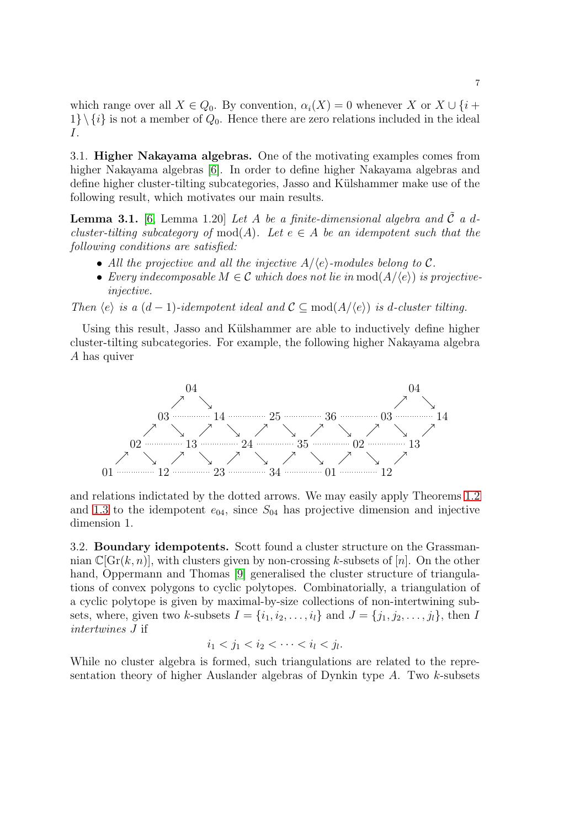which range over all  $X \in Q_0$ . By convention,  $\alpha_i(X) = 0$  whenever X or  $X \cup \{i +$  $1\} \setminus \{i\}$  is not a member of  $Q_0$ . Hence there are zero relations included in the ideal I.

3.1. Higher Nakayama algebras. One of the motivating examples comes from higher Nakayama algebras [\[6\]](#page-7-5). In order to define higher Nakayama algebras and define higher cluster-tilting subcategories, Jasso and Külshammer make use of the following result, which motivates our main results.

<span id="page-6-0"></span>**Lemma 3.1.** [\[6,](#page-7-5) Lemma 1.20] Let A be a finite-dimensional algebra and  $\tilde{C}$  a d*cluster-tilting subcategory of* mod(A). Let  $e \in A$  *be an idempotent such that the following conditions are satisfied:*

- All the projective and all the injective  $A/\langle e \rangle$ -modules belong to C.
- *Every indecomposable*  $M \in \mathcal{C}$  *which does not lie in*  $\text{mod}(A/\langle e \rangle)$  *is projectiveinjective.*

*Then*  $\langle e \rangle$  *is a*  $(d-1)$ *-idempotent ideal and*  $\mathcal{C} \subset \text{mod}(A/\langle e \rangle)$  *is d-cluster tilting.* 

Using this result, Jasso and Külshammer are able to inductively define higher cluster-tilting subcategories. For example, the following higher Nakayama algebra A has quiver



and relations indictated by the dotted arrows. We may easily apply Theorems [1.2](#page-1-0) and [1.3](#page-1-1) to the idempotent  $e_{04}$ , since  $S_{04}$  has projective dimension and injective dimension 1.

3.2. Boundary idempotents. Scott found a cluster structure on the Grassmannian  $\mathbb{C}[Gr(k, n)]$ , with clusters given by non-crossing k-subsets of [n]. On the other hand, Oppermann and Thomas [\[9\]](#page-8-2) generalised the cluster structure of triangulations of convex polygons to cyclic polytopes. Combinatorially, a triangulation of a cyclic polytope is given by maximal-by-size collections of non-intertwining subsets, where, given two k-subsets  $I = \{i_1, i_2, \ldots, i_l\}$  and  $J = \{j_1, j_2, \ldots, j_l\}$ , then I *intertwines* J if

$$
i_1 < j_1 < i_2 < \cdots < i_l < j_l.
$$

While no cluster algebra is formed, such triangulations are related to the representation theory of higher Auslander algebras of Dynkin type  $A$ . Two  $k$ -subsets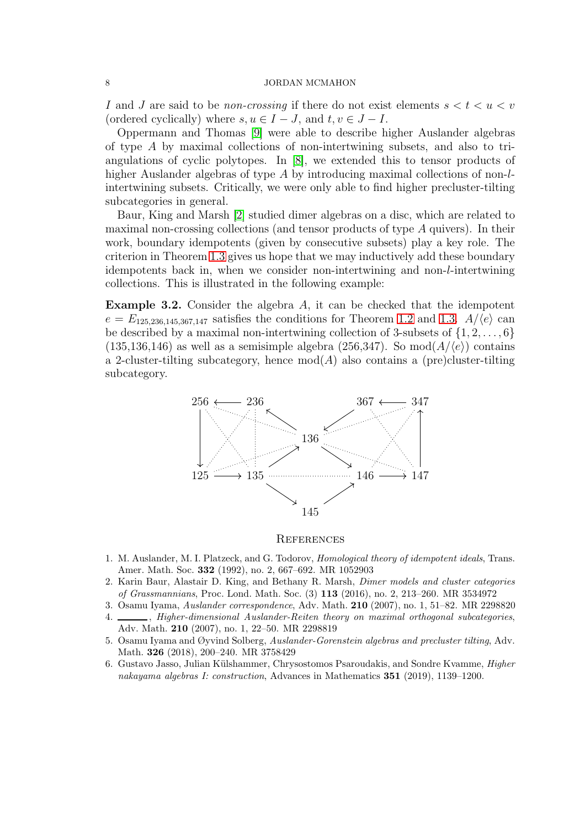I and J are said to be *non-crossing* if there do not exist elements  $s < t < u < v$ (ordered cyclically) where  $s, u \in I - J$ , and  $t, v \in J - I$ .

Oppermann and Thomas [\[9\]](#page-8-2) were able to describe higher Auslander algebras of type A by maximal collections of non-intertwining subsets, and also to triangulations of cyclic polytopes. In [\[8\]](#page-8-0), we extended this to tensor products of higher Auslander algebras of type A by introducing maximal collections of non-lintertwining subsets. Critically, we were only able to find higher precluster-tilting subcategories in general.

Baur, King and Marsh [\[2\]](#page-7-3) studied dimer algebras on a disc, which are related to maximal non-crossing collections (and tensor products of type A quivers). In their work, boundary idempotents (given by consecutive subsets) play a key role. The criterion in Theorem [1.3](#page-1-1) gives us hope that we may inductively add these boundary idempotents back in, when we consider non-intertwining and non-l-intertwining collections. This is illustrated in the following example:

**Example 3.2.** Consider the algebra  $A$ , it can be checked that the idempotent  $e = E_{125,236,145,367,147}$  satisfies the conditions for Theorem [1.2](#page-1-0) and [1.3.](#page-1-1)  $A/(e)$  can be described by a maximal non-intertwining collection of 3-subsets of  $\{1, 2, \ldots, 6\}$  $(135,136,146)$  as well as a semisimple algebra  $(256,347)$ . So mod $(A/\langle e \rangle)$  contains a 2-cluster-tilting subcategory, hence  $mod(A)$  also contains a (pre)cluster-tilting subcategory.



### **REFERENCES**

- <span id="page-7-4"></span>1. M. Auslander, M. I. Platzeck, and G. Todorov, Homological theory of idempotent ideals, Trans. Amer. Math. Soc. 332 (1992), no. 2, 667–692. MR 1052903
- <span id="page-7-3"></span>2. Karin Baur, Alastair D. King, and Bethany R. Marsh, Dimer models and cluster categories of Grassmannians, Proc. Lond. Math. Soc. (3) 113 (2016), no. 2, 213–260. MR 3534972
- <span id="page-7-1"></span><span id="page-7-0"></span>3. Osamu Iyama, Auslander correspondence, Adv. Math. 210 (2007), no. 1, 51–82. MR 2298820
- 4.  $\frac{1}{100}$ , Higher-dimensional Auslander-Reiten theory on maximal orthogonal subcategories, Adv. Math. 210 (2007), no. 1, 22–50. MR 2298819
- <span id="page-7-2"></span>5. Osamu Iyama and Øyvind Solberg, Auslander-Gorenstein algebras and precluster tilting, Adv. Math. 326 (2018), 200–240. MR 3758429
- <span id="page-7-5"></span>6. Gustavo Jasso, Julian Külshammer, Chrysostomos Psaroudakis, and Sondre Kvamme, *Higher* nakayama algebras I: construction, Advances in Mathematics 351 (2019), 1139–1200.